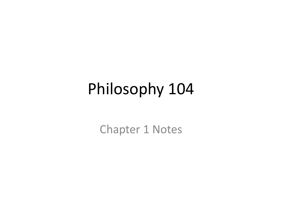### Philosophy 104

Chapter 1 Notes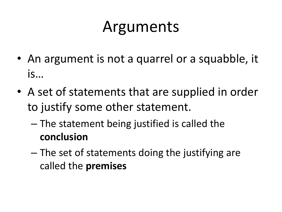### Arguments

- An argument is not a quarrel or a squabble, it is…
- A set of statements that are supplied in order to justify some other statement.
	- The statement being justified is called the **conclusion**
	- The set of statements doing the justifying are called the **premises**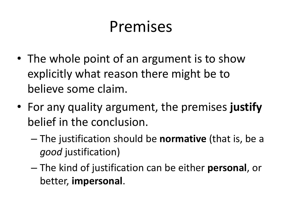### Premises

- The whole point of an argument is to show explicitly what reason there might be to believe some claim.
- For any quality argument, the premises **justify** belief in the conclusion.
	- The justification should be **normative** (that is, be a *good* justification)
	- The kind of justification can be either **personal**, or better, **impersonal**.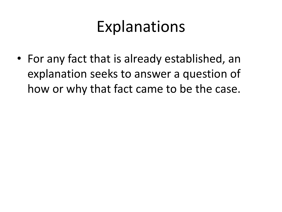#### Explanations

• For any fact that is already established, an explanation seeks to answer a question of how or why that fact came to be the case.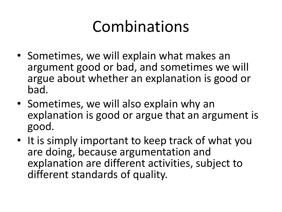### Combinations

- Sometimes, we will explain what makes an argument good or bad, and sometimes we will argue about whether an explanation is good or bad.
- Sometimes, we will also explain why an explanation is good or argue that an argument is good.
- It is simply important to keep track of what you are doing, because argumentation and explanation are different activities, subject to different standards of quality.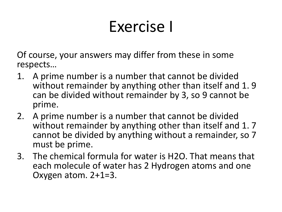### Exercise I

Of course, your answers may differ from these in some respects…

- 1. A prime number is a number that cannot be divided without remainder by anything other than itself and 1.9 can be divided without remainder by 3, so 9 cannot be prime.
- 2. A prime number is a number that cannot be divided without remainder by anything other than itself and 1.7 cannot be divided by anything without a remainder, so 7 must be prime.
- 3. The chemical formula for water is H2O. That means that each molecule of water has 2 Hydrogen atoms and one Oxygen atom. 2+1=3.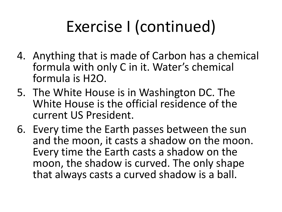# Exercise I (continued)

- 4. Anything that is made of Carbon has a chemical formula with only C in it. Water's chemical formula is H2O.
- 5. The White House is in Washington DC. The White House is the official residence of the current US President.
- 6. Every time the Earth passes between the sun and the moon, it casts a shadow on the moon. Every time the Earth casts a shadow on the moon, the shadow is curved. The only shape that always casts a curved shadow is a ball.